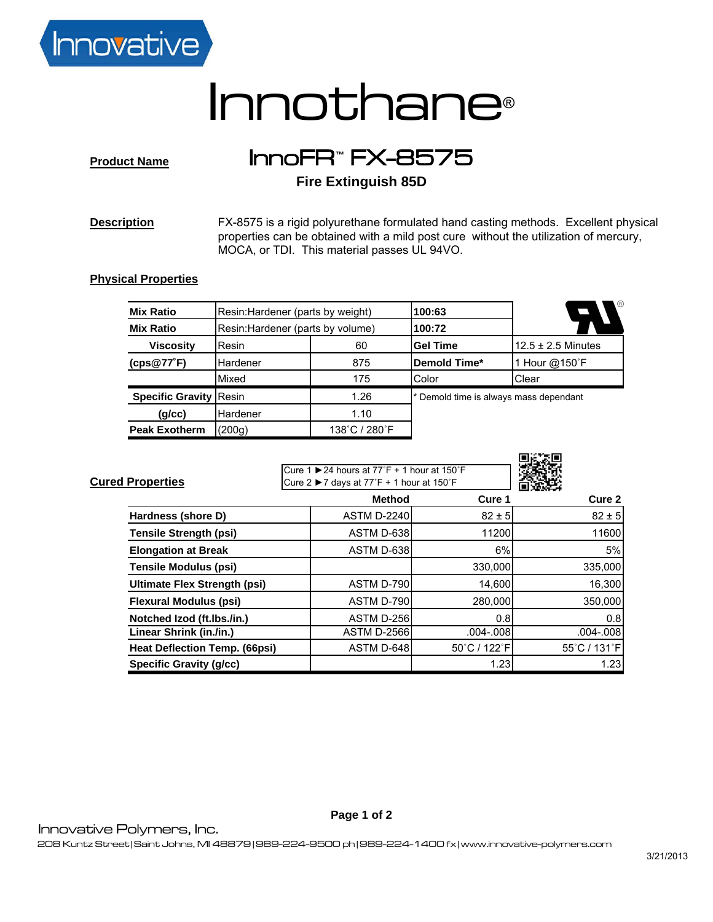

## Innothane®

**Product Name** InnoFR**™** FX-8575

**Fire Extinguish 85D**

**Description** FX-8575 is a rigid polyurethane formulated hand casting methods. Excellent physical properties can be obtained with a mild post cure without the utilization of mercury, MOCA, or TDI. This material passes UL 94VO.

## **Physical Properties**

| <b>Mix Ratio</b>              | Resin: Hardener (parts by weight) |               | 100:63                                 | ∖®                     |
|-------------------------------|-----------------------------------|---------------|----------------------------------------|------------------------|
| <b>Mix Ratio</b>              | Resin: Hardener (parts by volume) |               | 100:72                                 |                        |
| <b>Viscosity</b>              | Resin                             | 60            | <b>Gel Time</b>                        | $12.5 \pm 2.5$ Minutes |
| (cps@77°F)                    | Hardener                          | 875           | <b>Demold Time*</b>                    | 1 Hour @150°F          |
|                               | Mixed                             | 175           | Color                                  | Clear                  |
| <b>Specific Gravity Resin</b> |                                   | 1.26          | * Demold time is always mass dependant |                        |
| (g/cc)                        | Hardener                          | 1.10          |                                        |                        |
| <b>Peak Exotherm</b>          | (200g)                            | 138°C / 280°F |                                        |                        |

| <b>Cured Properties</b>             | Cure 1 $\triangleright$ 24 hours at 77°F + 1 hour at 150°F<br>Cure 2 $\triangleright$ 7 days at 77°F + 1 hour at 150°F |               |               |
|-------------------------------------|------------------------------------------------------------------------------------------------------------------------|---------------|---------------|
|                                     | <b>Method</b>                                                                                                          | Cure 1        | Cure 2        |
| Hardness (shore D)                  | <b>ASTM D-2240</b>                                                                                                     | $82 \pm 5$    | $82 \pm 5$    |
| <b>Tensile Strength (psi)</b>       | ASTM D-638                                                                                                             | 11200         | 11600         |
| <b>Elongation at Break</b>          | ASTM D-638                                                                                                             | 6%            | 5%            |
| <b>Tensile Modulus (psi)</b>        |                                                                                                                        | 330,000       | 335,000       |
| <b>Ultimate Flex Strength (psi)</b> | ASTM D-790                                                                                                             | 14,600        | 16,300        |
| <b>Flexural Modulus (psi)</b>       | ASTM D-790                                                                                                             | 280,000       | 350,000       |
| Notched Izod (ft.Ibs./in.)          | ASTM D-256                                                                                                             | 0.8           | 0.8           |
| Linear Shrink (in./in.)             | <b>ASTM D-2566</b>                                                                                                     | $.004 - .008$ | $.004 - .008$ |
| Heat Deflection Temp. (66psi)       | ASTM D-648                                                                                                             | 50°C / 122°F  | 55°C / 131°F  |
| <b>Specific Gravity (g/cc)</b>      |                                                                                                                        | 1.23          | 1.23          |